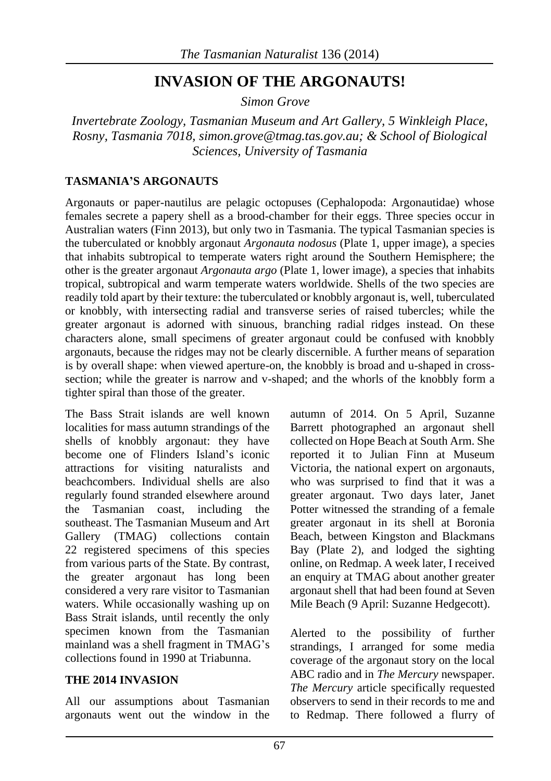# **INVASION OF THE ARGONAUTS!**

*Simon Grove*

*Invertebrate Zoology, Tasmanian Museum and Art Gallery, 5 Winkleigh Place, Rosny, Tasmania 7018[, simon.grove@tmag.tas.gov.au;](mailto:simon.grove@tmag.tas.gov.au) & School of Biological Sciences, University of Tasmania*

### **TASMANIA'S ARGONAUTS**

Argonauts or paper-nautilus are pelagic octopuses (Cephalopoda: Argonautidae) whose females secrete a papery shell as a brood-chamber for their eggs. Three species occur in Australian waters (Finn 2013), but only two in Tasmania. The typical Tasmanian species is the tuberculated or knobbly argonaut *Argonauta nodosus* (Plate 1, upper image), a species that inhabits subtropical to temperate waters right around the Southern Hemisphere; the other is the greater argonaut *Argonauta argo* (Plate 1, lower image), a species that inhabits tropical, subtropical and warm temperate waters worldwide. Shells of the two species are readily told apart by their texture: the tuberculated or knobbly argonaut is, well, tuberculated or knobbly, with intersecting radial and transverse series of raised tubercles; while the greater argonaut is adorned with sinuous, branching radial ridges instead. On these characters alone, small specimens of greater argonaut could be confused with knobbly argonauts, because the ridges may not be clearly discernible. A further means of separation is by overall shape: when viewed aperture-on, the knobbly is broad and u-shaped in crosssection; while the greater is narrow and v-shaped; and the whorls of the knobbly form a tighter spiral than those of the greater.

The Bass Strait islands are well known localities for mass autumn strandings of the shells of knobbly argonaut: they have become one of Flinders Island's iconic attractions for visiting naturalists and beachcombers. Individual shells are also regularly found stranded elsewhere around the Tasmanian coast, including the southeast. The Tasmanian Museum and Art Gallery (TMAG) collections contain 22 registered specimens of this species from various parts of the State. By contrast, the greater argonaut has long been considered a very rare visitor to Tasmanian waters. While occasionally washing up on Bass Strait islands, until recently the only specimen known from the Tasmanian mainland was a shell fragment in TMAG's collections found in 1990 at Triabunna.

#### **THE 2014 INVASION**

All our assumptions about Tasmanian argonauts went out the window in the autumn of 2014. On 5 April, Suzanne Barrett photographed an argonaut shell collected on Hope Beach at South Arm. She reported it to Julian Finn at Museum Victoria, the national expert on argonauts, who was surprised to find that it was a greater argonaut. Two days later, Janet Potter witnessed the stranding of a female greater argonaut in its shell at Boronia Beach, between Kingston and Blackmans Bay (Plate 2), and lodged the sighting online, on Redmap. A week later, I received an enquiry at TMAG about another greater argonaut shell that had been found at Seven Mile Beach (9 April: Suzanne Hedgecott).

Alerted to the possibility of further strandings, I arranged for some media coverage of the argonaut story on the local ABC radio and in *The Mercury* newspaper. *The Mercury* article specifically requested observers to send in their records to me and to Redmap. There followed a flurry of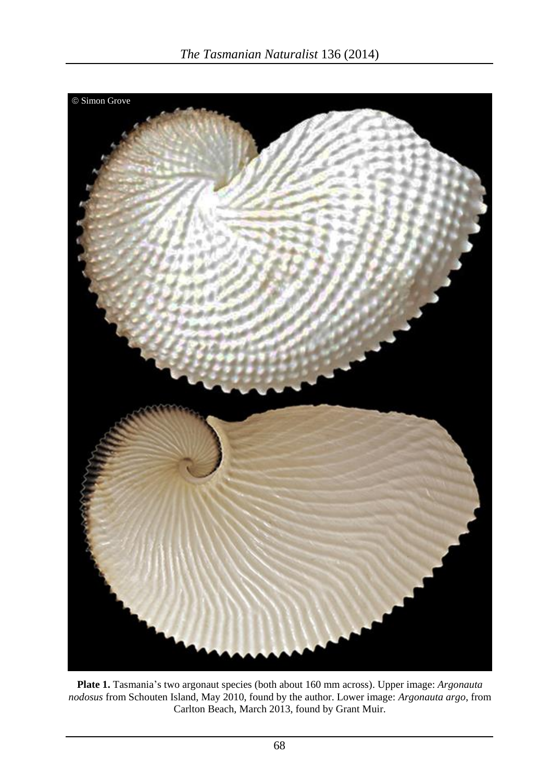

**Plate 1.** Tasmania's two argonaut species (both about 160 mm across). Upper image: *Argonauta nodosus* from Schouten Island, May 2010, found by the author. Lower image: *Argonauta argo*, from Carlton Beach, March 2013, found by Grant Muir.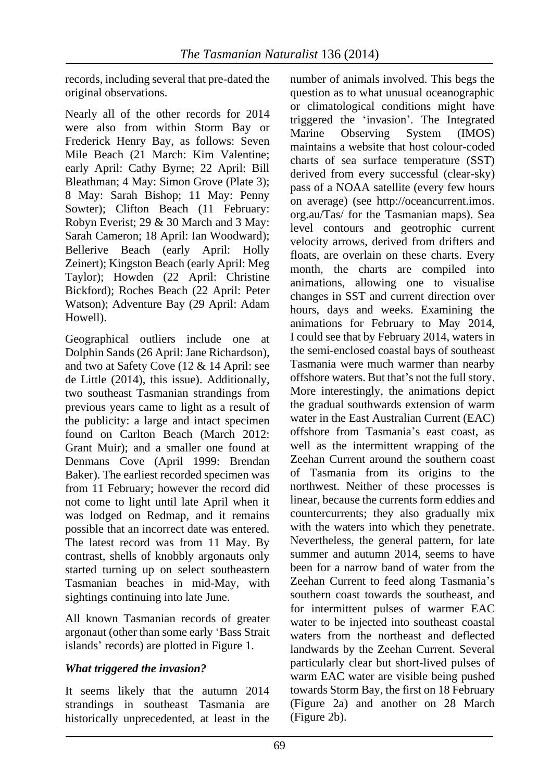records, including several that pre-dated the original observations.

Nearly all of the other records for 2014 were also from within Storm Bay or Frederick Henry Bay, as follows: Seven Mile Beach (21 March: Kim Valentine; early April: Cathy Byrne; 22 April: Bill Bleathman; 4 May: Simon Grove (Plate 3); 8 May: Sarah Bishop; 11 May: Penny Sowter); Clifton Beach (11 February: Robyn Everist; 29 & 30 March and 3 May: Sarah Cameron; 18 April: Ian Woodward); Bellerive Beach (early April: Holly Zeinert); Kingston Beach (early April: Meg Taylor); Howden (22 April: Christine Bickford); Roches Beach (22 April: Peter Watson); Adventure Bay (29 April: Adam Howell).

Geographical outliers include one at Dolphin Sands (26 April: Jane Richardson), and two at Safety Cove (12 & 14 April: see de Little (2014), this issue). Additionally, two southeast Tasmanian strandings from previous years came to light as a result of the publicity: a large and intact specimen found on Carlton Beach (March 2012: Grant Muir); and a smaller one found at Denmans Cove (April 1999: Brendan Baker). The earliest recorded specimen was from 11 February; however the record did not come to light until late April when it was lodged on Redmap, and it remains possible that an incorrect date was entered. The latest record was from 11 May. By contrast, shells of knobbly argonauts only started turning up on select southeastern Tasmanian beaches in mid-May, with sightings continuing into late June.

All known Tasmanian records of greater argonaut (other than some early 'Bass Strait islands' records) are plotted in Figure 1.

# *What triggered the invasion?*

It seems likely that the autumn 2014 strandings in southeast Tasmania are historically unprecedented, at least in the number of animals involved. This begs the question as to what unusual oceanographic or climatological conditions might have triggered the 'invasion'. The Integrated Marine Observing System (IMOS) maintains a website that host colour-coded charts of sea surface temperature (SST) derived from every successful (clear-sky) pass of a NOAA satellite (every few hours on average) (see http://oceancurrent.imos. org.au/Tas/ for the Tasmanian maps). Sea level contours and geotrophic current velocity arrows, derived from drifters and floats, are overlain on these charts. Every month, the charts are compiled into animations, allowing one to visualise changes in SST and current direction over hours, days and weeks. Examining the animations for February to May 2014, I could see that by February 2014, waters in the semi-enclosed coastal bays of southeast Tasmania were much warmer than nearby offshore waters. But that's not the full story. More interestingly, the animations depict the gradual southwards extension of warm water in the East Australian Current (EAC) offshore from Tasmania's east coast, as well as the intermittent wrapping of the Zeehan Current around the southern coast of Tasmania from its origins to the northwest. Neither of these processes is linear, because the currents form eddies and countercurrents; they also gradually mix with the waters into which they penetrate. Nevertheless, the general pattern, for late summer and autumn 2014, seems to have been for a narrow band of water from the Zeehan Current to feed along Tasmania's southern coast towards the southeast, and for intermittent pulses of warmer EAC water to be injected into southeast coastal waters from the northeast and deflected landwards by the Zeehan Current. Several particularly clear but short-lived pulses of warm EAC water are visible being pushed towards Storm Bay, the first on 18 February (Figure 2a) and another on 28 March (Figure 2b).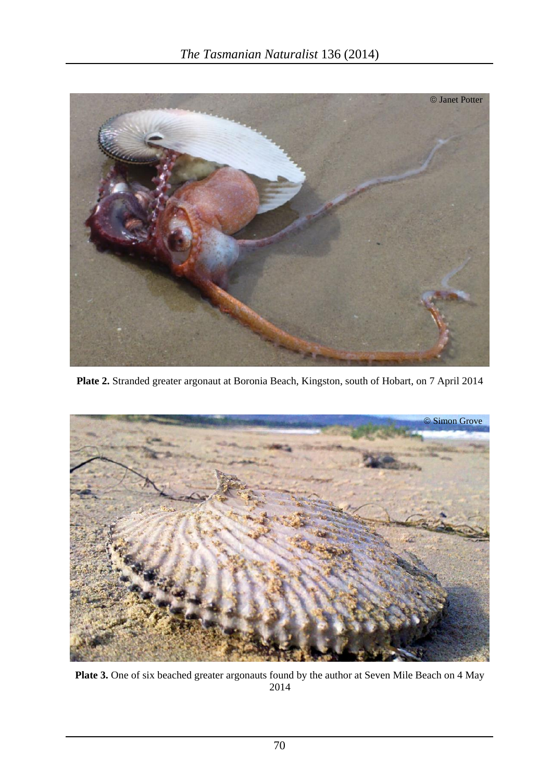

**Plate 2.** Stranded greater argonaut at Boronia Beach, Kingston, south of Hobart, on 7 April 2014



**Plate 3.** One of six beached greater argonauts found by the author at Seven Mile Beach on 4 May 2014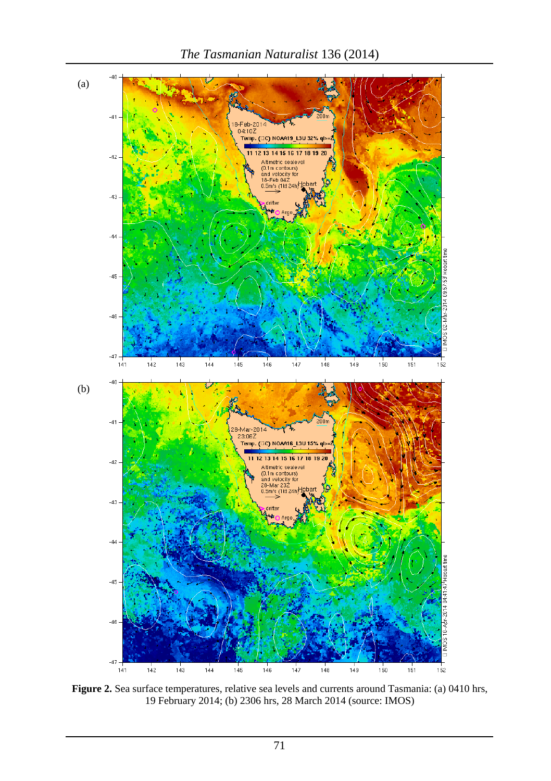

**Figure 2.** Sea surface temperatures, relative sea levels and currents around Tasmania: (a) 0410 hrs, 19 February 2014; (b) 2306 hrs, 28 March 2014 (source: IMOS)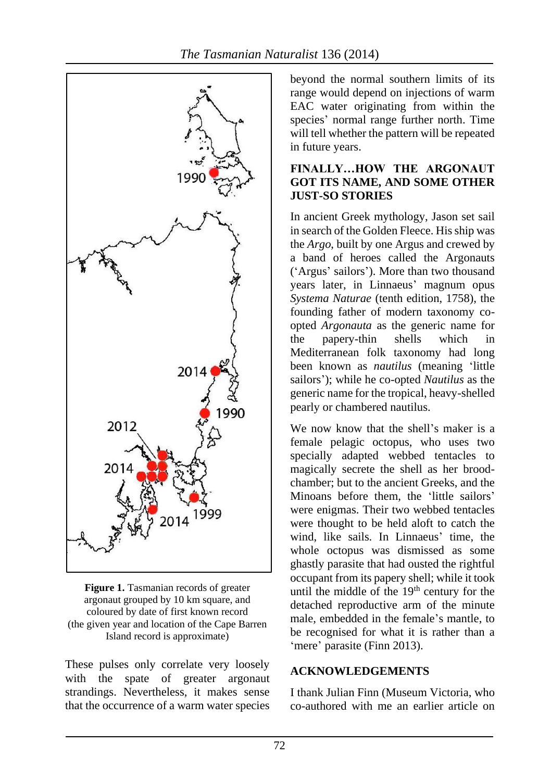

*The Tasmanian Naturalist* 136 (2014)

beyond the normal southern limits of its range would depend on injections of warm EAC water originating from within the species' normal range further north. Time will tell whether the pattern will be repeated in future years.

### **FINALLY…HOW THE ARGONAUT GOT ITS NAME, AND SOME OTHER JUST-SO STORIES**

In ancient Greek mythology, Jason set sail in search of the Golden Fleece. His ship was the *Argo*, built by one Argus and crewed by a band of heroes called the Argonauts ('Argus' sailors'). More than two thousand years later, in Linnaeus' magnum opus *Systema Naturae* (tenth edition, 1758), the founding father of modern taxonomy coopted *Argonauta* as the generic name for the papery-thin shells which in Mediterranean folk taxonomy had long been known as *nautilus* (meaning 'little sailors'); while he co-opted *Nautilus* as the generic name for the tropical, heavy-shelled pearly or chambered nautilus.

We now know that the shell's maker is a female pelagic octopus, who uses two specially adapted webbed tentacles to magically secrete the shell as her broodchamber; but to the ancient Greeks, and the Minoans before them, the 'little sailors' were enigmas. Their two webbed tentacles were thought to be held aloft to catch the wind, like sails. In Linnaeus' time, the whole octopus was dismissed as some ghastly parasite that had ousted the rightful occupant from its papery shell; while it took until the middle of the 19<sup>th</sup> century for the detached reproductive arm of the minute male, embedded in the female's mantle, to be recognised for what it is rather than a 'mere' parasite (Finn 2013).

#### **ACKNOWLEDGEMENTS**

I thank Julian Finn (Museum Victoria, who co-authored with me an earlier article on

**Figure 1.** Tasmanian records of greater argonaut grouped by 10 km square, and coloured by date of first known record (the given year and location of the Cape Barren Island record is approximate)

These pulses only correlate very loosely with the spate of greater argonaut strandings. Nevertheless, it makes sense that the occurrence of a warm water species